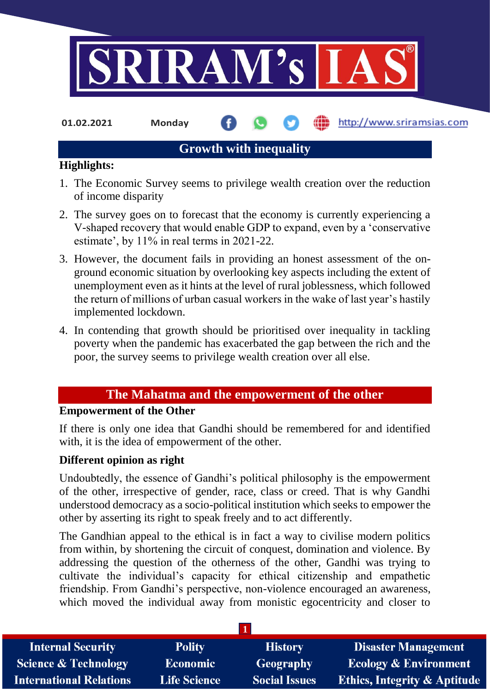

**01.02.2021 Monday**

#### http://www.sriramsias.com

## **Growth with inequality**

#### **Highlights:**

- 1. The Economic Survey seems to privilege wealth creation over the reduction of income disparity
- 2. The survey goes on to forecast that the economy is currently experiencing a V-shaped recovery that would enable GDP to expand, even by a 'conservative estimate', by 11% in real terms in 2021-22.
- 3. However, the document fails in providing an honest assessment of the onground economic situation by overlooking key aspects including the extent of unemployment even as it hints at the level of rural joblessness, which followed the return of millions of urban casual workers in the wake of last year's hastily implemented lockdown.
- 4. In contending that growth should be prioritised over inequality in tackling poverty when the pandemic has exacerbated the gap between the rich and the poor, the survey seems to privilege wealth creation over all else.

### **The Mahatma and the empowerment of the other**

#### **Empowerment of the Other**

If there is only one idea that Gandhi should be remembered for and identified with, it is the idea of empowerment of the other.

#### **Different opinion as right**

Undoubtedly, the essence of Gandhi's political philosophy is the empowerment of the other, irrespective of gender, race, class or creed. That is why Gandhi understood democracy as a socio-political institution which seeks to empower the other by asserting its right to speak freely and to act differently.

The Gandhian appeal to the ethical is in fact a way to civilise modern politics from within, by shortening the circuit of conquest, domination and violence. By addressing the question of the otherness of the other, Gandhi was trying to cultivate the individual's capacity for ethical citizenship and empathetic friendship. From Gandhi's perspective, non-violence encouraged an awareness, which moved the individual away from monistic egocentricity and closer to

| <b>Internal Security</b>        | <b>Polity</b>       | <b>History</b>       | <b>Disaster Management</b>              |
|---------------------------------|---------------------|----------------------|-----------------------------------------|
| <b>Science &amp; Technology</b> | <b>Economic</b>     | Geography            | <b>Ecology &amp; Environment</b>        |
| <b>International Relations</b>  | <b>Life Science</b> | <b>Social Issues</b> | <b>Ethics, Integrity &amp; Aptitude</b> |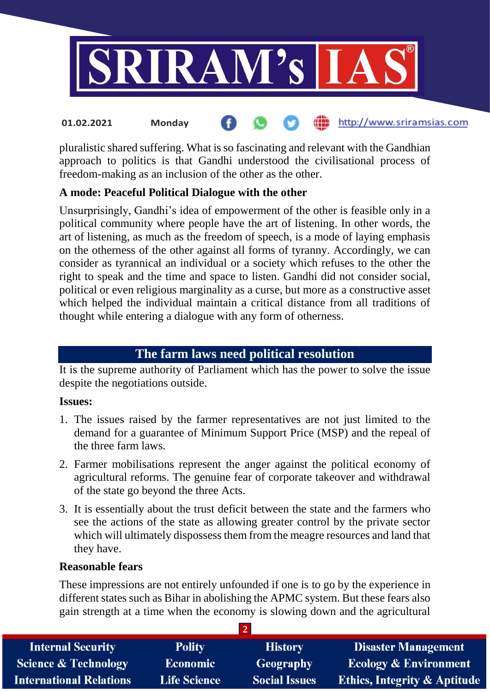

#### http://www.sriramsias.com **01.02.2021 Monday**

pluralistic shared suffering. What is so fascinating and relevant with the Gandhian approach to politics is that Gandhi understood the civilisational process of freedom-making as an inclusion of the other as the other.

#### **A mode: Peaceful Political Dialogue with the other**

Unsurprisingly, Gandhi's idea of empowerment of the other is feasible only in a political community where people have the art of listening. In other words, the art of listening, as much as the freedom of speech, is a mode of laying emphasis on the otherness of the other against all forms of tyranny. Accordingly, we can consider as tyrannical an individual or a society which refuses to the other the right to speak and the time and space to listen. Gandhi did not consider social, political or even religious marginality as a curse, but more as a constructive asset which helped the individual maintain a critical distance from all traditions of thought while entering a dialogue with any form of otherness.

### **The farm laws need political resolution**

It is the supreme authority of Parliament which has the power to solve the issue despite the negotiations outside.

#### **Issues:**

- 1. The issues raised by the farmer representatives are not just limited to the demand for a guarantee of Minimum Support Price (MSP) and the repeal of the three farm laws.
- 2. Farmer mobilisations represent the anger against the political economy of agricultural reforms. The genuine fear of corporate takeover and withdrawal of the state go beyond the three Acts.
- 3. It is essentially about the trust deficit between the state and the farmers who see the actions of the state as allowing greater control by the private sector which will ultimately dispossess them from the meagre resources and land that they have.

#### **Reasonable fears**

These impressions are not entirely unfounded if one is to go by the experience in different states such as Bihar in abolishing the APMC system. But these fears also gain strength at a time when the economy is slowing down and the agricultural

**2** 

| <b>Internal Security</b>       | <b>Polity</b>       | <b>History</b>       | <b>Disaster Management</b>              |
|--------------------------------|---------------------|----------------------|-----------------------------------------|
| Science & Technology           | <b>Economic</b>     | Geography            | <b>Ecology &amp; Environment</b>        |
| <b>International Relations</b> | <b>Life Science</b> | <b>Social Issues</b> | <b>Ethics, Integrity &amp; Aptitude</b> |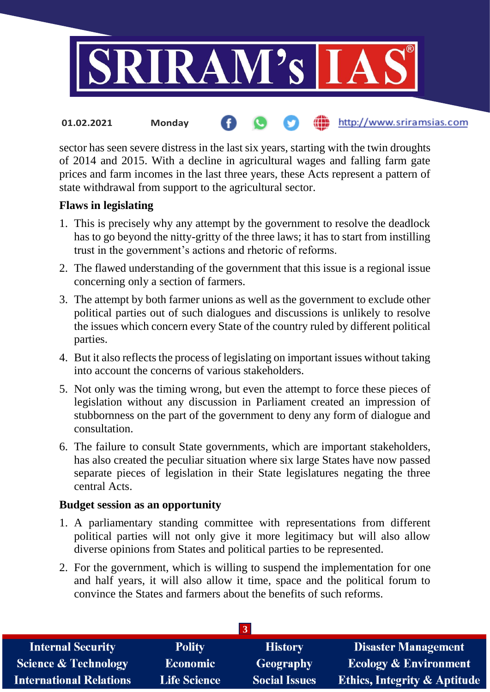

sector has seen severe distress in the last six years, starting with the twin droughts of 2014 and 2015. With a decline in agricultural wages and falling farm gate prices and farm incomes in the last three years, these Acts represent a pattern of state withdrawal from support to the agricultural sector.

#### **Flaws in legislating**

- 1. This is precisely why any attempt by the government to resolve the deadlock has to go beyond the nitty-gritty of the three laws; it has to start from instilling trust in the government's actions and rhetoric of reforms.
- 2. The flawed understanding of the government that this issue is a regional issue concerning only a section of farmers.
- 3. The attempt by both farmer unions as well as the government to exclude other political parties out of such dialogues and discussions is unlikely to resolve the issues which concern every State of the country ruled by different political parties.
- 4. But it also reflects the process of legislating on important issues without taking into account the concerns of various stakeholders.
- 5. Not only was the timing wrong, but even the attempt to force these pieces of legislation without any discussion in Parliament created an impression of stubbornness on the part of the government to deny any form of dialogue and consultation.
- 6. The failure to consult State governments, which are important stakeholders, has also created the peculiar situation where six large States have now passed separate pieces of legislation in their State legislatures negating the three central Acts.

#### **Budget session as an opportunity**

- 1. A parliamentary standing committee with representations from different political parties will not only give it more legitimacy but will also allow diverse opinions from States and political parties to be represented.
- 2. For the government, which is willing to suspend the implementation for one and half years, it will also allow it time, space and the political forum to convince the States and farmers about the benefits of such reforms.

| <b>Disaster Management</b>              |
|-----------------------------------------|
| <b>Ecology &amp; Environment</b>        |
| <b>Ethics, Integrity &amp; Aptitude</b> |
|                                         |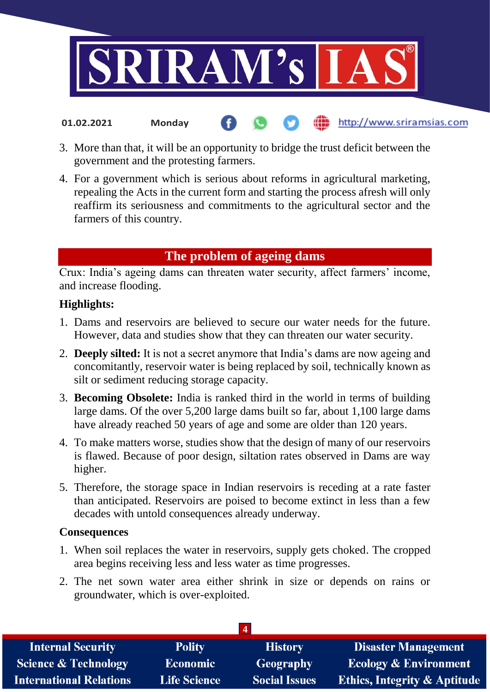

http://www.sriramsias.com

- 3. More than that, it will be an opportunity to bridge the trust deficit between the government and the protesting farmers.
- 4. For a government which is serious about reforms in agricultural marketing, repealing the Acts in the current form and starting the process afresh will only reaffirm its seriousness and commitments to the agricultural sector and the farmers of this country.

#### **The problem of ageing dams**

Crux: India's ageing dams can threaten water security, affect farmers' income, and increase flooding.

#### **Highlights:**

**01.02.2021 Monday**

- 1. Dams and reservoirs are believed to secure our water needs for the future. However, data and studies show that they can threaten our water security.
- 2. **Deeply silted:** It is not a secret anymore that India's dams are now ageing and concomitantly, reservoir water is being replaced by soil, technically known as silt or sediment reducing storage capacity.
- 3. **Becoming Obsolete:** India is ranked third in the world in terms of building large dams. Of the over 5,200 large dams built so far, about 1,100 large dams have already reached 50 years of age and some are older than 120 years.
- 4. To make matters worse, studies show that the design of many of our reservoirs is flawed. Because of poor design, siltation rates observed in Dams are way higher.
- 5. Therefore, the storage space in Indian reservoirs is receding at a rate faster than anticipated. Reservoirs are poised to become extinct in less than a few decades with untold consequences already underway.

#### **Consequences**

- 1. When soil replaces the water in reservoirs, supply gets choked. The cropped area begins receiving less and less water as time progresses.
- 2. The net sown water area either shrink in size or depends on rains or groundwater, which is over-exploited.

| <b>Internal Security</b>        | <b>Polity</b>       | <b>History</b>       | <b>Disaster Management</b>              |
|---------------------------------|---------------------|----------------------|-----------------------------------------|
| <b>Science &amp; Technology</b> | Economic            | Geography            | <b>Ecology &amp; Environment</b>        |
| <b>International Relations</b>  | <b>Life Science</b> | <b>Social Issues</b> | <b>Ethics, Integrity &amp; Aptitude</b> |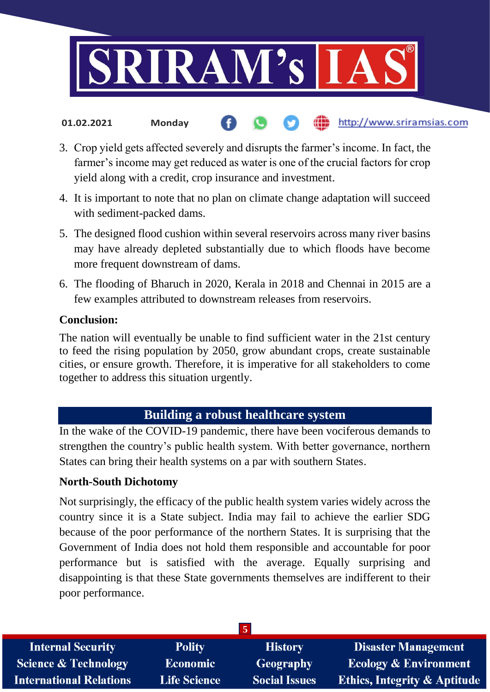

- http://www.sriramsias.com **01.02.2021 Monday**
- 3. Crop yield gets affected severely and disrupts the farmer's income. In fact, the farmer's income may get reduced as water is one of the crucial factors for crop yield along with a credit, crop insurance and investment.
- 4. It is important to note that no plan on climate change adaptation will succeed with sediment-packed dams.
- 5. The designed flood cushion within several reservoirs across many river basins may have already depleted substantially due to which floods have become more frequent downstream of dams.
- 6. The flooding of Bharuch in 2020, Kerala in 2018 and Chennai in 2015 are a few examples attributed to downstream releases from reservoirs.

#### **Conclusion:**

The nation will eventually be unable to find sufficient water in the 21st century to feed the rising population by 2050, grow abundant crops, create sustainable cities, or ensure growth. Therefore, it is imperative for all stakeholders to come together to address this situation urgently.

#### **Building a robust healthcare system**

In the wake of the COVID-19 pandemic, there have been vociferous demands to strengthen the country's public health system. With better governance, northern States can bring their health systems on a par with southern States.

#### **North-South Dichotomy**

Not surprisingly, the efficacy of the public health system varies widely across the country since it is a State subject. India may fail to achieve the earlier SDG because of the poor performance of the northern States. It is surprising that the Government of India does not hold them responsible and accountable for poor performance but is satisfied with the average. Equally surprising and disappointing is that these State governments themselves are indifferent to their poor performance.

|                                 |                     | 5                    |                                         |
|---------------------------------|---------------------|----------------------|-----------------------------------------|
| <b>Internal Security</b>        | <b>Polity</b>       | <b>History</b>       | <b>Disaster Management</b>              |
| <b>Science &amp; Technology</b> | <b>Economic</b>     | <b>Geography</b>     | <b>Ecology &amp; Environment</b>        |
| <b>International Relations</b>  | <b>Life Science</b> | <b>Social Issues</b> | <b>Ethics, Integrity &amp; Aptitude</b> |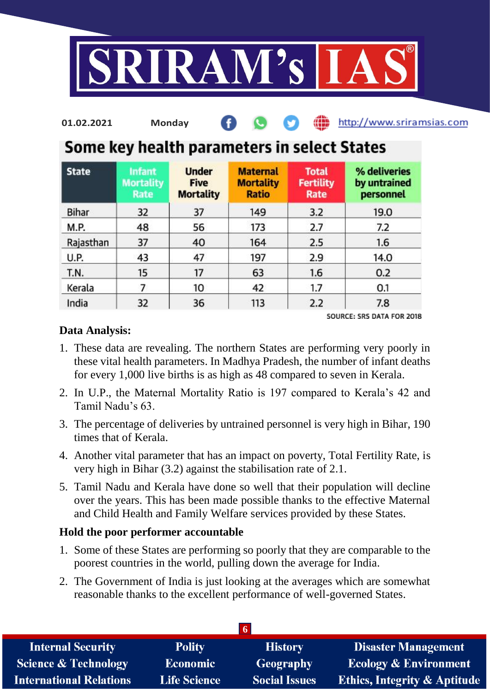

| 01.02.2021 | Mondav |  |  |  |  | http://www.sriramsias.com |
|------------|--------|--|--|--|--|---------------------------|
|------------|--------|--|--|--|--|---------------------------|

# Some key health parameters in select States

| <b>State</b> | <b>Infant</b><br><b>Mortality</b><br>Rate | <b>Under</b><br><b>Five</b><br><b>Mortality</b> | <b>Maternal</b><br><b>Mortality</b><br><b>Ratio</b> | <b>Total</b><br><b>Fertility</b><br>Rate | % deliveries<br>by untrained<br>personnel |
|--------------|-------------------------------------------|-------------------------------------------------|-----------------------------------------------------|------------------------------------------|-------------------------------------------|
| Bihar        | 32                                        | 37                                              | 149                                                 | 3.2                                      | 19.0                                      |
| M.P.         | 48                                        | 56                                              | 173                                                 | 2.7                                      | 7.2                                       |
| Rajasthan    | 37                                        | 40                                              | 164                                                 | 2.5                                      | 1.6                                       |
| <b>U.P.</b>  | 43                                        | 47                                              | 197                                                 | 2.9                                      | 14.0                                      |
| T.N.         | 15                                        | 17                                              | 63                                                  | 1.6                                      | 0.2                                       |
| Kerala       | 7                                         | 10                                              | 42                                                  | 1.7                                      | 0.1                                       |
| India        | 32                                        | 36                                              | 113                                                 | 2.2                                      | 7.8                                       |

SOURCE: SRS DATA FOR 2018

#### **Data Analysis:**

- 1. These data are revealing. The northern States are performing very poorly in these vital health parameters. In Madhya Pradesh, the number of infant deaths for every 1,000 live births is as high as 48 compared to seven in Kerala.
- 2. In U.P., the Maternal Mortality Ratio is 197 compared to Kerala's 42 and Tamil Nadu's 63.
- 3. The percentage of deliveries by untrained personnel is very high in Bihar, 190 times that of Kerala.
- 4. Another vital parameter that has an impact on poverty, Total Fertility Rate, is very high in Bihar (3.2) against the stabilisation rate of 2.1.
- 5. Tamil Nadu and Kerala have done so well that their population will decline over the years. This has been made possible thanks to the effective Maternal and Child Health and Family Welfare services provided by these States.

#### **Hold the poor performer accountable**

- 1. Some of these States are performing so poorly that they are comparable to the poorest countries in the world, pulling down the average for India.
- 2. The Government of India is just looking at the averages which are somewhat reasonable thanks to the excellent performance of well-governed States.

| <b>Internal Security</b>        | <b>Polity</b>       | <b>History</b>       | <b>Disaster Management</b>              |
|---------------------------------|---------------------|----------------------|-----------------------------------------|
| <b>Science &amp; Technology</b> | <b>Economic</b>     | <b>Geography</b>     | <b>Ecology &amp; Environment</b>        |
| <b>International Relations</b>  | <b>Life Science</b> | <b>Social Issues</b> | <b>Ethics, Integrity &amp; Aptitude</b> |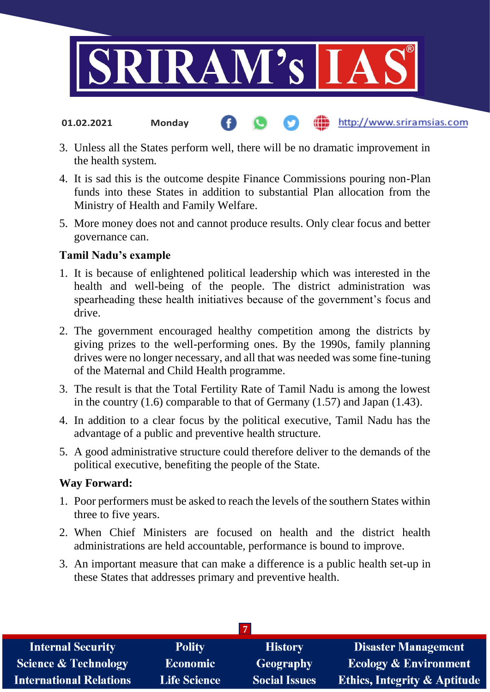

3. Unless all the States perform well, there will be no dramatic improvement in

http://www.sriramsias.com

- the health system.
- 4. It is sad this is the outcome despite Finance Commissions pouring non-Plan funds into these States in addition to substantial Plan allocation from the Ministry of Health and Family Welfare.
- 5. More money does not and cannot produce results. Only clear focus and better governance can.

#### **Tamil Nadu's example**

**01.02.2021 Monday**

- 1. It is because of enlightened political leadership which was interested in the health and well-being of the people. The district administration was spearheading these health initiatives because of the government's focus and drive.
- 2. The government encouraged healthy competition among the districts by giving prizes to the well-performing ones. By the 1990s, family planning drives were no longer necessary, and all that was needed was some fine-tuning of the Maternal and Child Health programme.
- 3. The result is that the Total Fertility Rate of Tamil Nadu is among the lowest in the country (1.6) comparable to that of Germany (1.57) and Japan (1.43).
- 4. In addition to a clear focus by the political executive, Tamil Nadu has the advantage of a public and preventive health structure.
- 5. A good administrative structure could therefore deliver to the demands of the political executive, benefiting the people of the State.

#### **Way Forward:**

- 1. Poor performers must be asked to reach the levels of the southern States within three to five years.
- 2. When Chief Ministers are focused on health and the district health administrations are held accountable, performance is bound to improve.
- 3. An important measure that can make a difference is a public health set-up in these States that addresses primary and preventive health.

| <b>Internal Security</b>        | <b>Polity</b>       | <b>History</b>       | <b>Disaster Management</b>              |
|---------------------------------|---------------------|----------------------|-----------------------------------------|
| <b>Science &amp; Technology</b> | <b>Economic</b>     | Geography            | <b>Ecology &amp; Environment</b>        |
| <b>International Relations</b>  | <b>Life Science</b> | <b>Social Issues</b> | <b>Ethics, Integrity &amp; Aptitude</b> |